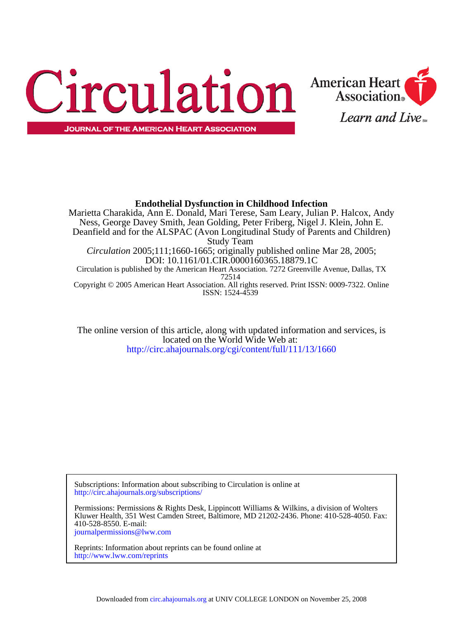



**Association**®

Learn and Live

<http://circ.ahajournals.org/cgi/content/full/111/13/1660> located on the World Wide Web at: The online version of this article, along with updated information and services, is

<http://circ.ahajournals.org/subscriptions/> Subscriptions: Information about subscribing to Circulation is online at

[journalpermissions@lww.com](mailto:journalpermissions@lww.com) 410-528-8550. E-mail: Kluwer Health, 351 West Camden Street, Baltimore, MD 21202-2436. Phone: 410-528-4050. Fax: Permissions: Permissions & Rights Desk, Lippincott Williams & Wilkins, a division of Wolters

<http://www.lww.com/reprints> Reprints: Information about reprints can be found online at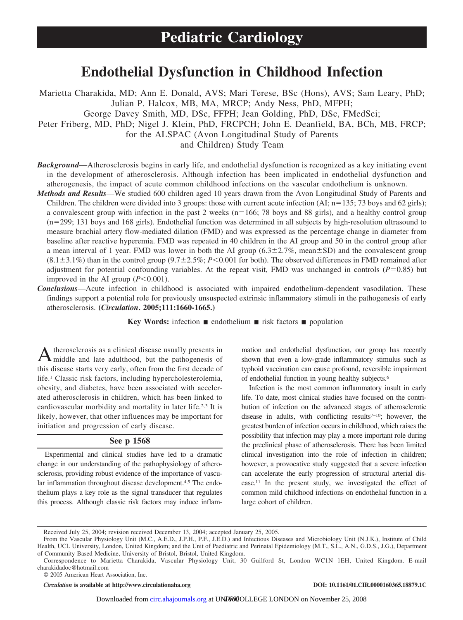# **Endothelial Dysfunction in Childhood Infection**

Marietta Charakida, MD; Ann E. Donald, AVS; Mari Terese, BSc (Hons), AVS; Sam Leary, PhD; Julian P. Halcox, MB, MA, MRCP; Andy Ness, PhD, MFPH; George Davey Smith, MD, DSc, FFPH; Jean Golding, PhD, DSc, FMedSci; Peter Friberg, MD, PhD; Nigel J. Klein, PhD, FRCPCH; John E. Deanfield, BA, BCh, MB, FRCP; for the ALSPAC (Avon Longitudinal Study of Parents and Children) Study Team

- *Background*—Atherosclerosis begins in early life, and endothelial dysfunction is recognized as a key initiating event in the development of atherosclerosis. Although infection has been implicated in endothelial dysfunction and atherogenesis, the impact of acute common childhood infections on the vascular endothelium is unknown.
- *Methods and Results*—We studied 600 children aged 10 years drawn from the Avon Longitudinal Study of Parents and Children. The children were divided into 3 groups: those with current acute infection (AI;  $n=135$ ; 73 boys and 62 girls); a convalescent group with infection in the past 2 weeks ( $n=166$ ; 78 boys and 88 girls), and a healthy control group  $(n=299; 131$  boys and 168 girls). Endothelial function was determined in all subjects by high-resolution ultrasound to measure brachial artery flow-mediated dilation (FMD) and was expressed as the percentage change in diameter from baseline after reactive hyperemia. FMD was repeated in 40 children in the AI group and 50 in the control group after a mean interval of 1 year. FMD was lower in both the AI group  $(6.3 \pm 2.7\%)$ , mean $\pm$ SD) and the convalescent group  $(8.1 \pm 3.1\%)$  than in the control group  $(9.7 \pm 2.5\%)$ ; *P*<0.001 for both). The observed differences in FMD remained after adjustment for potential confounding variables. At the repeat visit, FMD was unchanged in controls  $(P=0.85)$  but improved in the AI group  $(P<0.001)$ .
- *Conclusions*—Acute infection in childhood is associated with impaired endothelium-dependent vasodilation. These findings support a potential role for previously unsuspected extrinsic inflammatory stimuli in the pathogenesis of early atherosclerosis. **(***Circulation***. 2005;111:1660-1665.)**

**Key Words:** infection ■ endothelium ■ risk factors ■ population

A therosclerosis as a clinical disease usually presents in middle and late adulthood, but the pathogenesis of this disease starts very early, often from the first decade of life.1 Classic risk factors, including hypercholesterolemia, obesity, and diabetes, have been associated with accelerated atherosclerosis in children, which has been linked to cardiovascular morbidity and mortality in later life.2,3 It is likely, however, that other influences may be important for initiation and progression of early disease.

# **See p 1568**

Experimental and clinical studies have led to a dramatic change in our understanding of the pathophysiology of atherosclerosis, providing robust evidence of the importance of vascular inflammation throughout disease development.<sup>4,5</sup> The endothelium plays a key role as the signal transducer that regulates this process. Although classic risk factors may induce inflammation and endothelial dysfunction, our group has recently shown that even a low-grade inflammatory stimulus such as typhoid vaccination can cause profound, reversible impairment of endothelial function in young healthy subjects.6

Infection is the most common inflammatory insult in early life. To date, most clinical studies have focused on the contribution of infection on the advanced stages of atherosclerotic disease in adults, with conflicting results<sup> $7-10$ </sup>; however, the greatest burden of infection occurs in childhood, which raises the possibility that infection may play a more important role during the preclinical phase of atherosclerosis. There has been limited clinical investigation into the role of infection in children; however, a provocative study suggested that a severe infection can accelerate the early progression of structural arterial disease.11 In the present study, we investigated the effect of common mild childhood infections on endothelial function in a large cohort of children.

© 2005 American Heart Association, Inc.

*Circulation* **is available at http://www.circulationaha.org DOI: 10.1161/01.CIR.0000160365.18879.1C**

Received July 25, 2004; revision received December 13, 2004; accepted January 25, 2005.

From the Vascular Physiology Unit (M.C., A.E.D., J.P.H., P.F., J.E.D.) and Infectious Diseases and Microbiology Unit (N.J.K.), Institute of Child Health, UCL University, London, United Kingdom; and the Unit of Paediatric and Perinatal Epidemiology (M.T., S.L., A.N., G.D.S., J.G.), Department of Community Based Medicine, University of Bristol, Bristol, United Kingdom.

Correspondence to Marietta Charakida, Vascular Physiology Unit, 30 Guilford St, London WC1N 1EH, United Kingdom. E-mail charakidadoc@hotmail.com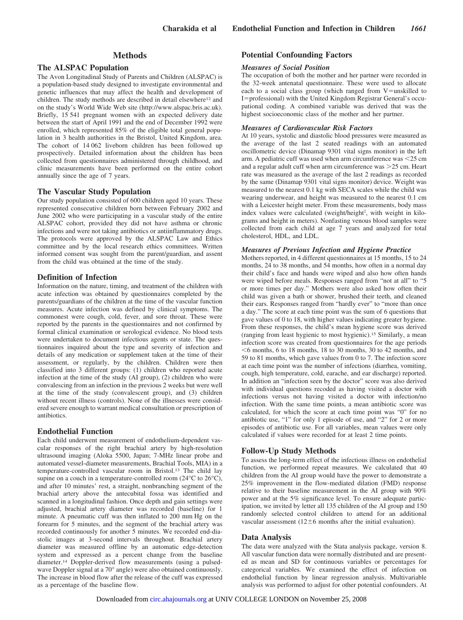# **Methods**

# **The ALSPAC Population**

The Avon Longitudinal Study of Parents and Children (ALSPAC) is a population-based study designed to investigate environmental and genetic influences that may affect the health and development of children. The study methods are described in detail elsewhere<sup>12</sup> and on the study's World Wide Web site (http://www.alspac.bris.ac.uk). Briefly, 15 541 pregnant women with an expected delivery date between the start of April 1991 and the end of December 1992 were enrolled, which represented 85% of the eligible total general population in 3 health authorities in the Bristol, United Kingdom, area. The cohort of 14 062 liveborn children has been followed up prospectively. Detailed information about the children has been collected from questionnaires administered through childhood, and clinic measurements have been performed on the entire cohort annually since the age of 7 years.

# **The Vascular Study Population**

Our study population consisted of 600 children aged 10 years. These represented consecutive children born between February 2002 and June 2002 who were participating in a vascular study of the entire ALSPAC cohort, provided they did not have asthma or chronic infections and were not taking antibiotics or antiinflammatory drugs. The protocols were approved by the ALSPAC Law and Ethics committee and by the local research ethics committees. Written informed consent was sought from the parent/guardian, and assent from the child was obtained at the time of the study.

## **Definition of Infection**

Information on the nature, timing, and treatment of the children with acute infection was obtained by questionnaires completed by the parents/guardians of the children at the time of the vascular function measures. Acute infection was defined by clinical symptoms. The commonest were cough, cold, fever, and sore throat. These were reported by the parents in the questionnaires and not confirmed by formal clinical examination or serological evidence. No blood tests were undertaken to document infectious agents or state. The questionnaires inquired about the type and severity of infection and details of any medication or supplement taken at the time of their assessment, or regularly, by the children. Children were then classified into 3 different groups: (1) children who reported acute infection at the time of the study (AI group), (2) children who were convalescing from an infection in the previous 2 weeks but were well at the time of the study (convalescent group), and (3) children without recent illness (controls). None of the illnesses were considered severe enough to warrant medical consultation or prescription of antibiotics.

# **Endothelial Function**

Each child underwent measurement of endothelium-dependent vascular responses of the right brachial artery by high-resolution ultrasound imaging (Aloka 5500, Japan; 7-MHz linear probe and automated vessel-diameter measurements, Brachial Tools, MIA) in a temperature-controlled vascular room in Bristol.13 The child lay supine on a couch in a temperature-controlled room (24°C to 26°C), and after 10 minutes' rest, a straight, nonbranching segment of the brachial artery above the antecubital fossa was identified and scanned in a longitudinal fashion. Once depth and gain settings were adjusted, brachial artery diameter was recorded (baseline) for 1 minute. A pneumatic cuff was then inflated to 200 mm Hg on the forearm for 5 minutes, and the segment of the brachial artery was recorded continuously for another 5 minutes. We recorded end-diastolic images at 3-second intervals throughout. Brachial artery diameter was measured offline by an automatic edge-detection system and expressed as a percent change from the baseline diameter.14 Doppler-derived flow measurements (using a pulsedwave Doppler signal at a 70° angle) were also obtained continuously. The increase in blood flow after the release of the cuff was expressed as a percentage of the baseline flow.

## **Potential Confounding Factors**

#### *Measures of Social Position*

The occupation of both the mother and her partner were recorded in the 32-week antenatal questionnaire. These were used to allocate each to a social class group (which ranged from  $V$ =unskilled to I=professional) with the United Kingdom Registrar General's occupational coding. A combined variable was derived that was the highest socioeconomic class of the mother and her partner.

#### *Measures of Cardiovascular Risk Factors*

At 10 years, systolic and diastolic blood pressures were measured as the average of the last 2 seated readings with an automated oscillometric device (Dinamap 9301 vital signs monitor) in the left arm. A pediatric cuff was used when arm circumference was 25 cm and a regular adult cuff when arm circumference was 25 cm. Heart rate was measured as the average of the last 2 readings as recorded by the same (Dinamap 9301 vital signs monitor) device. Weight was measured to the nearest 0.1 kg with SECA scales while the child was wearing underwear, and height was measured to the nearest 0.1 cm with a Leicester height meter. From these measurements, body mass index values were calculated (weight/height<sup>2</sup>, with weight in kilograms and height in meters). Nonfasting venous blood samples were collected from each child at age 7 years and analyzed for total cholesterol, HDL, and LDL.

## *Measures of Previous Infection and Hygiene Practice*

Mothers reported, in 4 different questionnaires at 15 months, 15 to 24 months, 24 to 38 months, and 54 months, how often in a normal day their child's face and hands were wiped and also how often hands were wiped before meals. Responses ranged from "not at all" to "5 or more times per day." Mothers were also asked how often their child was given a bath or shower, brushed their teeth, and cleaned their ears. Responses ranged from "hardly ever" to "more than once a day." The score at each time point was the sum of 6 questions that gave values of 0 to 18, with higher values indicating greater hygiene. From these responses, the child's mean hygiene score was derived (ranging from least hygienic to most hygienic).15 Similarly, a mean infection score was created from questionnaires for the age periods  $6$  months, 6 to 18 months, 18 to 30 months, 30 to 42 months, and 59 to 81 months, which gave values from 0 to 7. The infection score at each time point was the number of infections (diarrhea, vomiting, cough, high temperature, cold, earache, and ear discharge) reported. In addition an "infection seen by the doctor" score was also derived with individual questions recoded as having visited a doctor with infections versus not having visited a doctor with infection/no infection. With the same time points, a mean antibiotic score was calculated, for which the score at each time point was "0" for no antibiotic use, "1" for only 1 episode of use, and "2" for 2 or more episodes of antibiotic use. For all variables, mean values were only calculated if values were recorded for at least 2 time points.

#### **Follow-Up Study Methods**

To assess the long-term effect of the infectious illness on endothelial function, we performed repeat measures. We calculated that 40 children from the AI group would have the power to demonstrate a 25% improvement in the flow-mediated dilation (FMD) response relative to their baseline measurement in the AI group with 90% power and at the 5% significance level. To ensure adequate participation, we invited by letter all 135 children of the AI group and 150 randomly selected control children to attend for an additional vascular assessment  $(12 \pm 6$  months after the initial evaluation).

#### **Data Analysis**

The data were analyzed with the Stata analysis package, version 8. All vascular function data were normally distributed and are presented as mean and SD for continuous variables or percentages for categorical variables. We examined the effect of infection on endothelial function by linear regression analysis. Multivariable analysis was performed to adjust for other potential confounders. At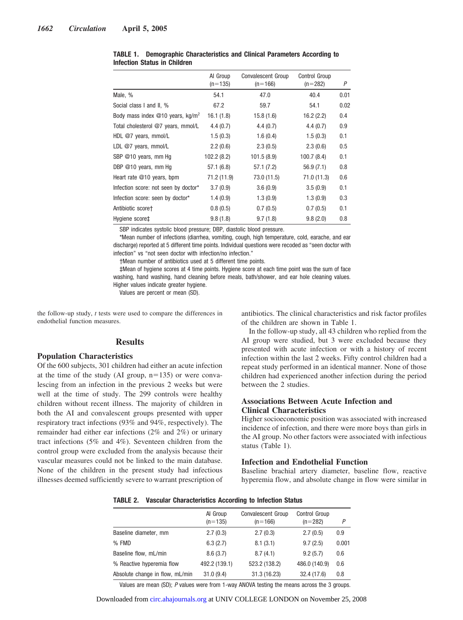|                                                | Al Group<br>$(n=135)$ | <b>Convalescent Group</b><br>$(n=166)$ | Control Group<br>$(n=282)$ | P    |
|------------------------------------------------|-----------------------|----------------------------------------|----------------------------|------|
| Male, %                                        | 54.1                  | 47.0                                   | 40.4                       | 0.01 |
| Social class I and II, %                       | 67.2                  | 59.7                                   | 54.1                       | 0.02 |
| Body mass index $@10$ years, kg/m <sup>2</sup> | 16.1(1.8)             | 15.8(1.6)                              | 16.2(2.2)                  | 0.4  |
| Total cholesterol @7 years, mmol/L             | 4.4(0.7)              | 4.4(0.7)                               | 4.4(0.7)                   | 0.9  |
| HDL $@7$ years, mmol/L                         | 1.5(0.3)              | 1.6(0.4)                               | 1.5(0.3)                   | 0.1  |
| LDL $@7$ years, mmol/L                         | 2.2(0.6)              | 2.3(0.5)                               | 2.3(0.6)                   | 0.5  |
| SBP @10 years, mm Hq                           | 102.2(8.2)            | 101.5(8.9)                             | 100.7(8.4)                 | 0.1  |
| DBP $@10$ years, mm Hq                         | 57.1 (6.8)            | 57.1 (7.2)                             | 56.9(7.1)                  | 0.8  |
| Heart rate @10 years, bpm                      | 71.2 (11.9)           | 73.0 (11.5)                            | 71.0(11.3)                 | 0.6  |
| Infection score: not seen by doctor*           | 3.7(0.9)              | 3.6(0.9)                               | 3.5(0.9)                   | 0.1  |
| Infection score: seen by doctor*               | 1.4(0.9)              | 1.3(0.9)                               | 1.3(0.9)                   | 0.3  |
| Antibiotic scoret                              | 0.8(0.5)              | 0.7(0.5)                               | 0.7(0.5)                   | 0.1  |
| Hygiene score‡                                 | 9.8(1.8)              | 9.7(1.8)                               | 9.8(2.0)                   | 0.8  |

**TABLE 1. Demographic Characteristics and Clinical Parameters According to Infection Status in Children**

SBP indicates systolic blood pressure; DBP, diastolic blood pressure.

\*Mean number of infections (diarrhea, vomiting, cough, high temperature, cold, earache, and ear discharge) reported at 5 different time points. Individual questions were recoded as "seen doctor with infection" vs "not seen doctor with infection/no infection."

†Mean number of antibiotics used at 5 different time points.

‡Mean of hygiene scores at 4 time points. Hygiene score at each time point was the sum of face washing, hand washing, hand cleaning before meals, bath/shower, and ear hole cleaning values. Higher values indicate greater hygiene.

Values are percent or mean (SD).

the follow-up study, *t* tests were used to compare the differences in endothelial function measures.

# **Results**

# **Population Characteristics**

Of the 600 subjects, 301 children had either an acute infection at the time of the study (AI group,  $n=135$ ) or were convalescing from an infection in the previous 2 weeks but were well at the time of study. The 299 controls were healthy children without recent illness. The majority of children in both the AI and convalescent groups presented with upper respiratory tract infections (93% and 94%, respectively). The remainder had either ear infections (2% and 2%) or urinary tract infections (5% and 4%). Seventeen children from the control group were excluded from the analysis because their vascular measures could not be linked to the main database. None of the children in the present study had infectious illnesses deemed sufficiently severe to warrant prescription of antibiotics. The clinical characteristics and risk factor profiles of the children are shown in Table 1.

In the follow-up study, all 43 children who replied from the AI group were studied, but 3 were excluded because they presented with acute infection or with a history of recent infection within the last 2 weeks. Fifty control children had a repeat study performed in an identical manner. None of those children had experienced another infection during the period between the 2 studies.

# **Associations Between Acute Infection and Clinical Characteristics**

Higher socioeconomic position was associated with increased incidence of infection, and there were more boys than girls in the AI group. No other factors were associated with infectious status (Table 1).

## **Infection and Endothelial Function**

Baseline brachial artery diameter, baseline flow, reactive hyperemia flow, and absolute change in flow were similar in

|                                 | Al Group<br>$(n=135)$ | <b>Convalescent Group</b><br>$(n=166)$ | Control Group<br>$(n=282)$ | P     |
|---------------------------------|-----------------------|----------------------------------------|----------------------------|-------|
| Baseline diameter, mm           | 2.7(0.3)              | 2.7(0.3)                               | 2.7(0.5)                   | 0.9   |
| % FMD                           | 6.3(2.7)              | 8.1(3.1)                               | 9.7(2.5)                   | 0.001 |
| Baseline flow, mL/min           | 8.6(3.7)              | 8.7(4.1)                               | 9.2(5.7)                   | 0.6   |
| % Reactive hyperemia flow       | 492.2 (139.1)         | 523.2 (138.2)                          | 486.0 (140.9)              | 0.6   |
| Absolute change in flow, mL/min | 31.0(9.4)             | 31.3 (16.23)                           | 32.4 (17.6)                | 0.8   |

Values are mean (SD); *P* values were from 1-way ANOVA testing the means across the 3 groups.

Downloaded from [circ.ahajournals.org](http://circ.ahajournals.org) at UNIV COLLEGE LONDON on November 25, 2008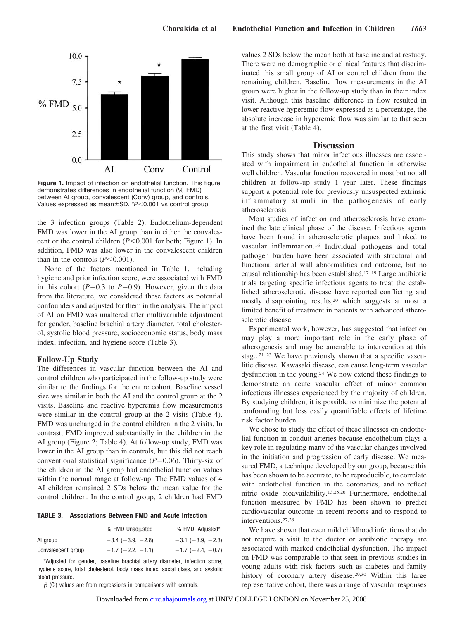

**Figure 1.** Impact of infection on endothelial function. This figure demonstrates differences in endothelial function (% FMD) between AI group, convalescent (Conv) group, and controls. Values expressed as mean  $\pm$  SD. \*P<0.001 vs control group.

the 3 infection groups (Table 2). Endothelium-dependent FMD was lower in the AI group than in either the convalescent or the control children (*P*<0.001 for both; Figure 1). In addition, FMD was also lower in the convalescent children than in the controls  $(P<0.001)$ .

None of the factors mentioned in Table 1, including hygiene and prior infection score, were associated with FMD in this cohort  $(P=0.3$  to  $P=0.9$ ). However, given the data from the literature, we considered these factors as potential confounders and adjusted for them in the analysis. The impact of AI on FMD was unaltered after multivariable adjustment for gender, baseline brachial artery diameter, total cholesterol, systolic blood pressure, socioeconomic status, body mass index, infection, and hygiene score (Table 3).

#### **Follow-Up Study**

The differences in vascular function between the AI and control children who participated in the follow-up study were similar to the findings for the entire cohort. Baseline vessel size was similar in both the AI and the control group at the 2 visits. Baseline and reactive hyperemia flow measurements were similar in the control group at the 2 visits (Table 4). FMD was unchanged in the control children in the 2 visits. In contrast, FMD improved substantially in the children in the AI group (Figure 2; Table 4). At follow-up study, FMD was lower in the AI group than in controls, but this did not reach conventional statistical significance  $(P=0.06)$ . Thirty-six of the children in the AI group had endothelial function values within the normal range at follow-up. The FMD values of 4 AI children remained 2 SDs below the mean value for the control children. In the control group, 2 children had FMD

**TABLE 3. Associations Between FMD and Acute Infection**

|                    | % FMD Unadjusted           | % FMD, Adjusted*           |
|--------------------|----------------------------|----------------------------|
| Al group           | $-3.4$ ( $-3.9$ , $-2.8$ ) | $-3.1$ ( $-3.9$ , $-2.3$ ) |
| Convalescent group | $-1.7$ (-2.2, -1.1)        | $-1.7$ (-2.4, -0.7)        |

\*Adjusted for gender, baseline brachial artery diameter, infection score, hygiene score, total cholesterol, body mass index, social class, and systolic blood pressure.

 $\beta$  (CI) values are from regressions in comparisons with controls.

values 2 SDs below the mean both at baseline and at restudy. There were no demographic or clinical features that discriminated this small group of AI or control children from the remaining children. Baseline flow measurements in the AI group were higher in the follow-up study than in their index visit. Although this baseline difference in flow resulted in lower reactive hyperemic flow expressed as a percentage, the absolute increase in hyperemic flow was similar to that seen at the first visit (Table 4).

#### **Discussion**

This study shows that minor infectious illnesses are associated with impairment in endothelial function in otherwise well children. Vascular function recovered in most but not all children at follow-up study 1 year later. These findings support a potential role for previously unsuspected extrinsic inflammatory stimuli in the pathogenesis of early atherosclerosis.

Most studies of infection and atherosclerosis have examined the late clinical phase of the disease. Infectious agents have been found in atherosclerotic plaques and linked to vascular inflammation.16 Individual pathogens and total pathogen burden have been associated with structural and functional arterial wall abnormalities and outcome, but no causal relationship has been established.17–19 Large antibiotic trials targeting specific infectious agents to treat the established atherosclerotic disease have reported conflicting and mostly disappointing results,20 which suggests at most a limited benefit of treatment in patients with advanced atherosclerotic disease.

Experimental work, however, has suggested that infection may play a more important role in the early phase of atherogenesis and may be amenable to intervention at this stage.21–23 We have previously shown that a specific vasculitic disease, Kawasaki disease, can cause long-term vascular dysfunction in the young.24 We now extend these findings to demonstrate an acute vascular effect of minor common infectious illnesses experienced by the majority of children. By studying children, it is possible to minimize the potential confounding but less easily quantifiable effects of lifetime risk factor burden.

We chose to study the effect of these illnesses on endothelial function in conduit arteries because endothelium plays a key role in regulating many of the vascular changes involved in the initiation and progression of early disease. We measured FMD, a technique developed by our group, because this has been shown to be accurate, to be reproducible, to correlate with endothelial function in the coronaries, and to reflect nitric oxide bioavailability.13,25,26 Furthermore, endothelial function measured by FMD has been shown to predict cardiovascular outcome in recent reports and to respond to interventions.27,28

We have shown that even mild childhood infections that do not require a visit to the doctor or antibiotic therapy are associated with marked endothelial dysfunction. The impact on FMD was comparable to that seen in previous studies in young adults with risk factors such as diabetes and family history of coronary artery disease.<sup>29,30</sup> Within this large representative cohort, there was a range of vascular responses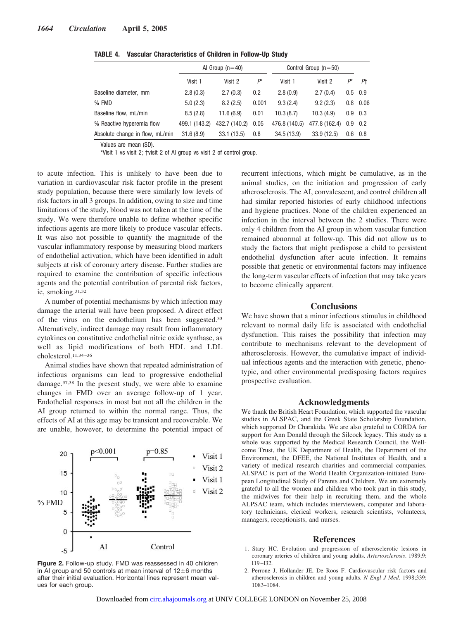|                                 | Al Group $(n=40)$ |               | Control Group $(n=50)$ |               |                       |                 |                  |
|---------------------------------|-------------------|---------------|------------------------|---------------|-----------------------|-----------------|------------------|
|                                 | Visit 1           | Visit 2       | $P^*$                  | Visit 1       | Visit 2               | $P^*$           | Ρt               |
| Baseline diameter, mm           | 2.8(0.3)          | 2.7(0.3)      | 0.2                    | 2.8(0.9)      | 2.7(0.4)              | $0.5 \quad 0.9$ |                  |
| % FMD                           | 5.0(2.3)          | 8.2(2.5)      | 0.001                  | 9.3(2.4)      | 9.2(2.3)              |                 | $0.8 \quad 0.06$ |
| Baseline flow, mL/min           | 8.5(2.8)          | 11.6(6.9)     | 0.01                   | 10.3(8.7)     | 10.3(4.9)             | $0.9\quad 0.3$  |                  |
| % Reactive hyperemia flow       | 499.1 (143.2)     | 432.7 (140.2) | 0.05                   | 476.8 (140.5) | 477.8 (162.4) 0.9 0.2 |                 |                  |
| Absolute change in flow, mL/min | 31.6(8.9)         | 33.1(13.5)    | 0.8                    | 34.5(13.9)    | 33.9(12.5)            | $0.6 \quad 0.8$ |                  |

**TABLE 4. Vascular Characteristics of Children in Follow-Up Study**

Values are mean (SD).

\*Visit 1 vs visit 2; †visit 2 of AI group vs visit 2 of control group.

to acute infection. This is unlikely to have been due to variation in cardiovascular risk factor profile in the present study population, because there were similarly low levels of risk factors in all 3 groups. In addition, owing to size and time limitations of the study, blood was not taken at the time of the study. We were therefore unable to define whether specific infectious agents are more likely to produce vascular effects. It was also not possible to quantify the magnitude of the vascular inflammatory response by measuring blood markers of endothelial activation, which have been identified in adult subjects at risk of coronary artery disease. Further studies are required to examine the contribution of specific infectious agents and the potential contribution of parental risk factors, ie, smoking.31,32

A number of potential mechanisms by which infection may damage the arterial wall have been proposed. A direct effect of the virus on the endothelium has been suggested.33 Alternatively, indirect damage may result from inflammatory cytokines on constitutive endothelial nitric oxide synthase, as well as lipid modifications of both HDL and LDL cholesterol.11,34 –36

Animal studies have shown that repeated administration of infectious organisms can lead to progressive endothelial damage.37,38 In the present study, we were able to examine changes in FMD over an average follow-up of 1 year. Endothelial responses in most but not all the children in the AI group returned to within the normal range. Thus, the effects of AI at this age may be transient and recoverable. We are unable, however, to determine the potential impact of



**Figure 2.** Follow-up study. FMD was reassessed in 40 children in AI group and 50 controls at mean interval of  $12\pm6$  months after their initial evaluation. Horizontal lines represent mean values for each group.

recurrent infections, which might be cumulative, as in the animal studies, on the initiation and progression of early atherosclerosis. The AI, convalescent, and control children all had similar reported histories of early childhood infections and hygiene practices. None of the children experienced an infection in the interval between the 2 studies. There were only 4 children from the AI group in whom vascular function remained abnormal at follow-up. This did not allow us to study the factors that might predispose a child to persistent endothelial dysfunction after acute infection. It remains possible that genetic or environmental factors may influence the long-term vascular effects of infection that may take years to become clinically apparent.

# **Conclusions**

We have shown that a minor infectious stimulus in childhood relevant to normal daily life is associated with endothelial dysfunction. This raises the possibility that infection may contribute to mechanisms relevant to the development of atherosclerosis. However, the cumulative impact of individual infectious agents and the interaction with genetic, phenotypic, and other environmental predisposing factors requires prospective evaluation.

## **Acknowledgments**

We thank the British Heart Foundation, which supported the vascular studies in ALSPAC, and the Greek State Scholarship Foundation, which supported Dr Charakida. We are also grateful to CORDA for support for Ann Donald through the Silcock legacy. This study as a whole was supported by the Medical Research Council, the Wellcome Trust, the UK Department of Health, the Department of the Environment, the DFEE, the National Institutes of Health, and a variety of medical research charities and commercial companies. ALSPAC is part of the World Health Organization-initiated European Longitudinal Study of Parents and Children. We are extremely grateful to all the women and children who took part in this study, the midwives for their help in recruiting them, and the whole ALPSAC team, which includes interviewers, computer and laboratory technicians, clerical workers, research scientists, volunteers, managers, receptionists, and nurses.

#### **References**

- 1. Stary HC. Evolution and progression of atherosclerotic lesions in coronary arteries of children and young adults. *Arteriosclerosis*. 1989;9:  $I19 - I32.$
- 2. Perrone J, Hollander JE, De Roos F. Cardiovascular risk factors and atherosclerosis in children and young adults. *N Engl J Med*. 1998;339: 1083–1084.